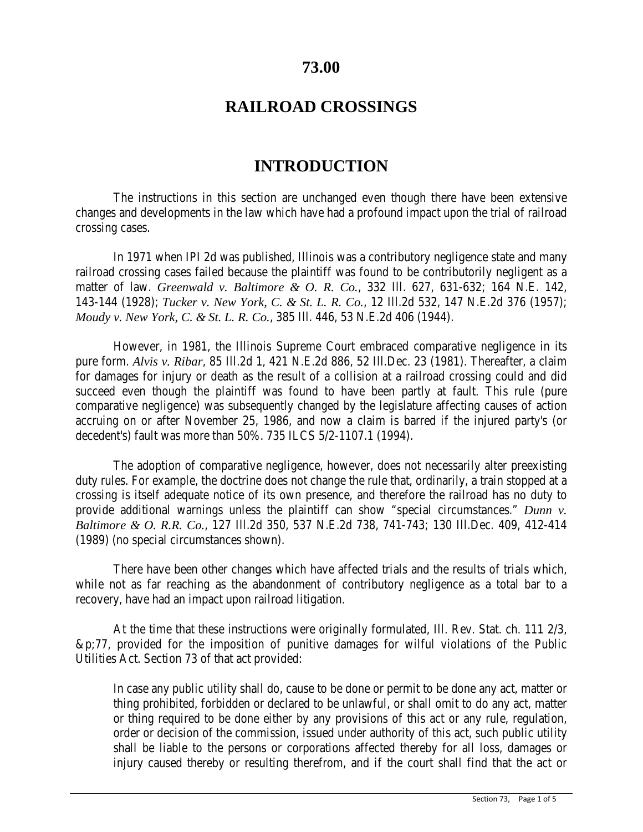## **73.00**

## **RAILROAD CROSSINGS**

# **INTRODUCTION**

The instructions in this section are unchanged even though there have been extensive changes and developments in the law which have had a profound impact upon the trial of railroad crossing cases.

In 1971 when IPI 2d was published, Illinois was a contributory negligence state and many railroad crossing cases failed because the plaintiff was found to be contributorily negligent as a matter of law. *Greenwald v. Baltimore & O. R. Co.*, 332 Ill. 627, 631-632; 164 N.E. 142, 143-144 (1928); *Tucker v. New York, C. & St. L. R. Co.*, 12 Ill.2d 532, 147 N.E.2d 376 (1957); *Moudy v. New York, C. & St. L. R. Co.*, 385 Ill. 446, 53 N.E.2d 406 (1944).

However, in 1981, the Illinois Supreme Court embraced comparative negligence in its pure form. *Alvis v. Ribar*, 85 Ill.2d 1, 421 N.E.2d 886, 52 Ill.Dec. 23 (1981). Thereafter, a claim for damages for injury or death as the result of a collision at a railroad crossing could and did succeed even though the plaintiff was found to have been partly at fault. This rule (pure comparative negligence) was subsequently changed by the legislature affecting causes of action accruing on or after November 25, 1986, and now a claim is barred if the injured party's (or decedent's) fault was more than 50%. 735 ILCS 5/2-1107.1 (1994).

The adoption of comparative negligence, however, does not necessarily alter preexisting duty rules. For example, the doctrine does not change the rule that, ordinarily, a train stopped at a crossing is itself adequate notice of its own presence, and therefore the railroad has no duty to provide additional warnings unless the plaintiff can show "special circumstances." *Dunn v. Baltimore & O. R.R. Co.*, 127 Ill.2d 350, 537 N.E.2d 738, 741-743; 130 Ill.Dec. 409, 412-414 (1989) (no special circumstances shown).

There have been other changes which have affected trials and the results of trials which, while not as far reaching as the abandonment of contributory negligence as a total bar to a recovery, have had an impact upon railroad litigation.

At the time that these instructions were originally formulated, Ill. Rev. Stat. ch. 111 2/3, &p;77, provided for the imposition of punitive damages for wilful violations of the Public Utilities Act. Section 73 of that act provided:

In case any public utility shall do, cause to be done or permit to be done any act, matter or thing prohibited, forbidden or declared to be unlawful, or shall omit to do any act, matter or thing required to be done either by any provisions of this act or any rule, regulation, order or decision of the commission, issued under authority of this act, such public utility shall be liable to the persons or corporations affected thereby for all loss, damages or injury caused thereby or resulting therefrom, and if the court shall find that the act or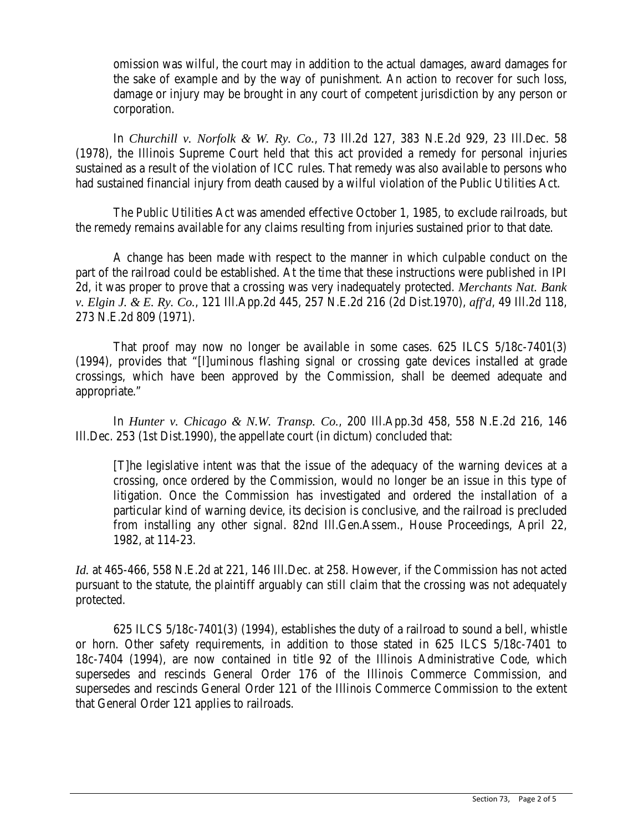omission was wilful, the court may in addition to the actual damages, award damages for the sake of example and by the way of punishment. An action to recover for such loss, damage or injury may be brought in any court of competent jurisdiction by any person or corporation.

In *Churchill v. Norfolk & W. Ry. Co.*, 73 Ill.2d 127, 383 N.E.2d 929, 23 Ill.Dec. 58 (1978), the Illinois Supreme Court held that this act provided a remedy for personal injuries sustained as a result of the violation of ICC rules. That remedy was also available to persons who had sustained financial injury from death caused by a wilful violation of the Public Utilities Act.

The Public Utilities Act was amended effective October 1, 1985, to exclude railroads, but the remedy remains available for any claims resulting from injuries sustained prior to that date.

A change has been made with respect to the manner in which culpable conduct on the part of the railroad could be established. At the time that these instructions were published in IPI 2d, it was proper to prove that a crossing was very inadequately protected. *Merchants Nat. Bank v. Elgin J. & E. Ry. Co.*, 121 Ill.App.2d 445, 257 N.E.2d 216 (2d Dist.1970), *aff'd*, 49 Ill.2d 118, 273 N.E.2d 809 (1971).

That proof may now no longer be available in some cases. 625 ILCS 5/18c-7401(3) (1994), provides that "[l]uminous flashing signal or crossing gate devices installed at grade crossings, which have been approved by the Commission, shall be deemed adequate and appropriate."

In *Hunter v. Chicago & N.W. Transp. Co.*, 200 Ill.App.3d 458, 558 N.E.2d 216, 146 Ill.Dec. 253 (1st Dist.1990), the appellate court (in dictum) concluded that:

[T]he legislative intent was that the issue of the adequacy of the warning devices at a crossing, once ordered by the Commission, would no longer be an issue in this type of litigation. Once the Commission has investigated and ordered the installation of a particular kind of warning device, its decision is conclusive, and the railroad is precluded from installing any other signal. 82nd Ill.Gen.Assem., House Proceedings, April 22, 1982, at 114-23.

*Id.* at 465-466, 558 N.E.2d at 221, 146 Ill.Dec. at 258. However, if the Commission has not acted pursuant to the statute, the plaintiff arguably can still claim that the crossing was not adequately protected.

625 ILCS 5/18c-7401(3) (1994), establishes the duty of a railroad to sound a bell, whistle or horn. Other safety requirements, in addition to those stated in 625 ILCS 5/18c-7401 to 18c-7404 (1994), are now contained in title 92 of the Illinois Administrative Code, which supersedes and rescinds General Order 176 of the Illinois Commerce Commission, and supersedes and rescinds General Order 121 of the Illinois Commerce Commission to the extent that General Order 121 applies to railroads.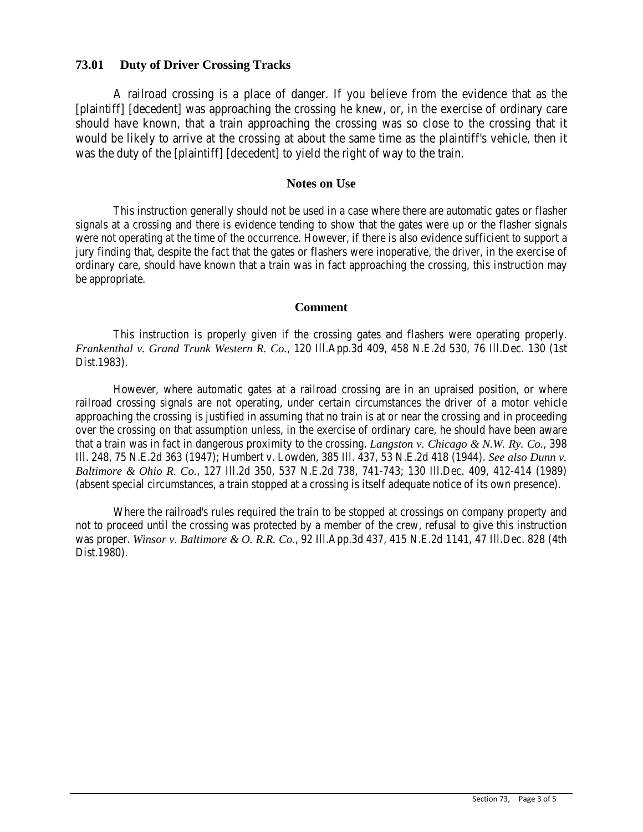## **73.01 Duty of Driver Crossing Tracks**

A railroad crossing is a place of danger. If you believe from the evidence that as the [plaintiff] [decedent] was approaching the crossing he knew, or, in the exercise of ordinary care should have known, that a train approaching the crossing was so close to the crossing that it would be likely to arrive at the crossing at about the same time as the plaintiff's vehicle, then it was the duty of the [plaintiff] [decedent] to yield the right of way to the train.

## **Notes on Use**

This instruction generally should not be used in a case where there are automatic gates or flasher signals at a crossing and there is evidence tending to show that the gates were up or the flasher signals were not operating at the time of the occurrence. However, if there is also evidence sufficient to support a jury finding that, despite the fact that the gates or flashers were inoperative, the driver, in the exercise of ordinary care, should have known that a train was in fact approaching the crossing, this instruction may be appropriate.

### **Comment**

This instruction is properly given if the crossing gates and flashers were operating properly. *Frankenthal v. Grand Trunk Western R. Co.*, 120 Ill.App.3d 409, 458 N.E.2d 530, 76 Ill.Dec. 130 (1st Dist.1983).

However, where automatic gates at a railroad crossing are in an upraised position, or where railroad crossing signals are not operating, under certain circumstances the driver of a motor vehicle approaching the crossing is justified in assuming that no train is at or near the crossing and in proceeding over the crossing on that assumption unless, in the exercise of ordinary care, he should have been aware that a train was in fact in dangerous proximity to the crossing. *Langston v. Chicago & N.W. Ry. Co.*, 398 Ill. 248, 75 N.E.2d 363 (1947); Humbert v. Lowden, 385 Ill. 437, 53 N.E.2d 418 (1944). *See also Dunn v. Baltimore & Ohio R. Co.*, 127 Ill.2d 350, 537 N.E.2d 738, 741-743; 130 Ill.Dec. 409, 412-414 (1989) (absent special circumstances, a train stopped at a crossing is itself adequate notice of its own presence).

Where the railroad's rules required the train to be stopped at crossings on company property and not to proceed until the crossing was protected by a member of the crew, refusal to give this instruction was proper. *Winsor v. Baltimore & O. R.R. Co.*, 92 Ill.App.3d 437, 415 N.E.2d 1141, 47 Ill.Dec. 828 (4th Dist.1980).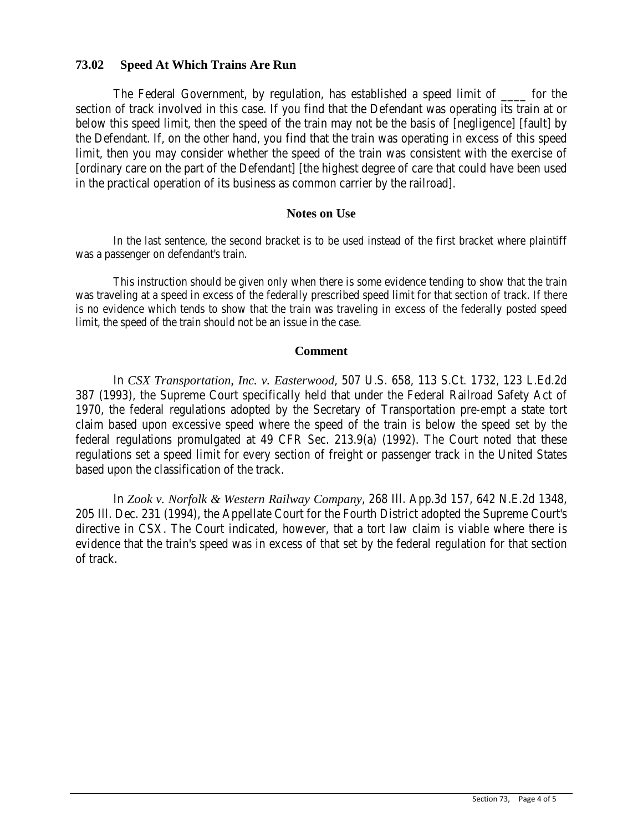## **73.02 Speed At Which Trains Are Run**

The Federal Government, by regulation, has established a speed limit of \_\_\_\_ for the section of track involved in this case. If you find that the Defendant was operating its train at or below this speed limit, then the speed of the train may not be the basis of [negligence] [fault] by the Defendant. If, on the other hand, you find that the train was operating in excess of this speed limit, then you may consider whether the speed of the train was consistent with the exercise of [ordinary care on the part of the Defendant] [the highest degree of care that could have been used in the practical operation of its business as common carrier by the railroad].

### **Notes on Use**

In the last sentence, the second bracket is to be used instead of the first bracket where plaintiff was a passenger on defendant's train.

This instruction should be given only when there is some evidence tending to show that the train was traveling at a speed in excess of the federally prescribed speed limit for that section of track. If there is no evidence which tends to show that the train was traveling in excess of the federally posted speed limit, the speed of the train should not be an issue in the case.

#### **Comment**

In *CSX Transportation, Inc. v. Easterwood*, 507 U.S. 658, 113 S.Ct. 1732, 123 L.Ed.2d 387 (1993), the Supreme Court specifically held that under the Federal Railroad Safety Act of 1970, the federal regulations adopted by the Secretary of Transportation pre-empt a state tort claim based upon excessive speed where the speed of the train is below the speed set by the federal regulations promulgated at 49 CFR Sec. 213.9(a) (1992). The Court noted that these regulations set a speed limit for every section of freight or passenger track in the United States based upon the classification of the track.

In *Zook v. Norfolk & Western Railway Company*, 268 Ill. App.3d 157, 642 N.E.2d 1348, 205 Ill. Dec. 231 (1994), the Appellate Court for the Fourth District adopted the Supreme Court's directive in CSX. The Court indicated, however, that a tort law claim is viable where there is evidence that the train's speed was in excess of that set by the federal regulation for that section of track.